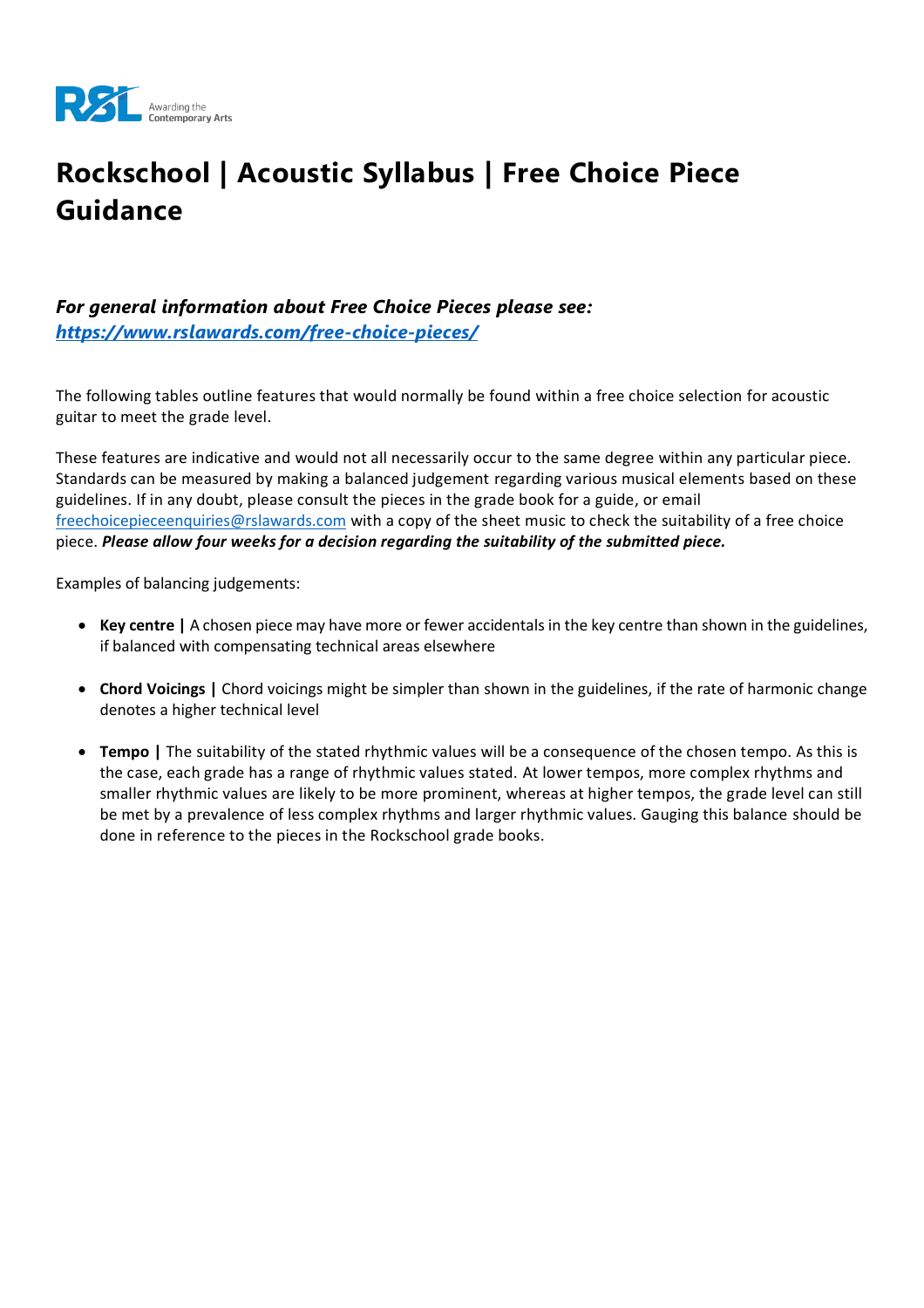

# **Rockschool | Acoustic Syllabus | Free Choice Piece Guidance**

#### *For general information about Free Choice Pieces please see: <https://www.rslawards.com/free-choice-pieces/>*

The following tables outline features that would normally be found within a free choice selection for acoustic guitar to meet the grade level.

These features are indicative and would not all necessarily occur to the same degree within any particular piece. Standards can be measured by making a balanced judgement regarding various musical elements based on these guidelines. If in any doubt, please consult the pieces in the grade book for a guide, or email [freechoicepieceenquiries@rslawards.com](mailto:freechoicepieceenquiries@rslawards.com) with a copy of the sheet music to check the suitability of a free choice piece. *Please allow four weeks for a decision regarding the suitability of the submitted piece.*

Examples of balancing judgements:

- **Key centre |** A chosen piece may have more or fewer accidentals in the key centre than shown in the guidelines, if balanced with compensating technical areas elsewhere
- **Chord Voicings |** Chord voicings might be simpler than shown in the guidelines, if the rate of harmonic change denotes a higher technical level
- **Tempo |** The suitability of the stated rhythmic values will be a consequence of the chosen tempo. As this is the case, each grade has a range of rhythmic values stated. At lower tempos, more complex rhythms and smaller rhythmic values are likely to be more prominent, whereas at higher tempos, the grade level can still be met by a prevalence of less complex rhythms and larger rhythmic values. Gauging this balance should be done in reference to the pieces in the Rockschool grade books.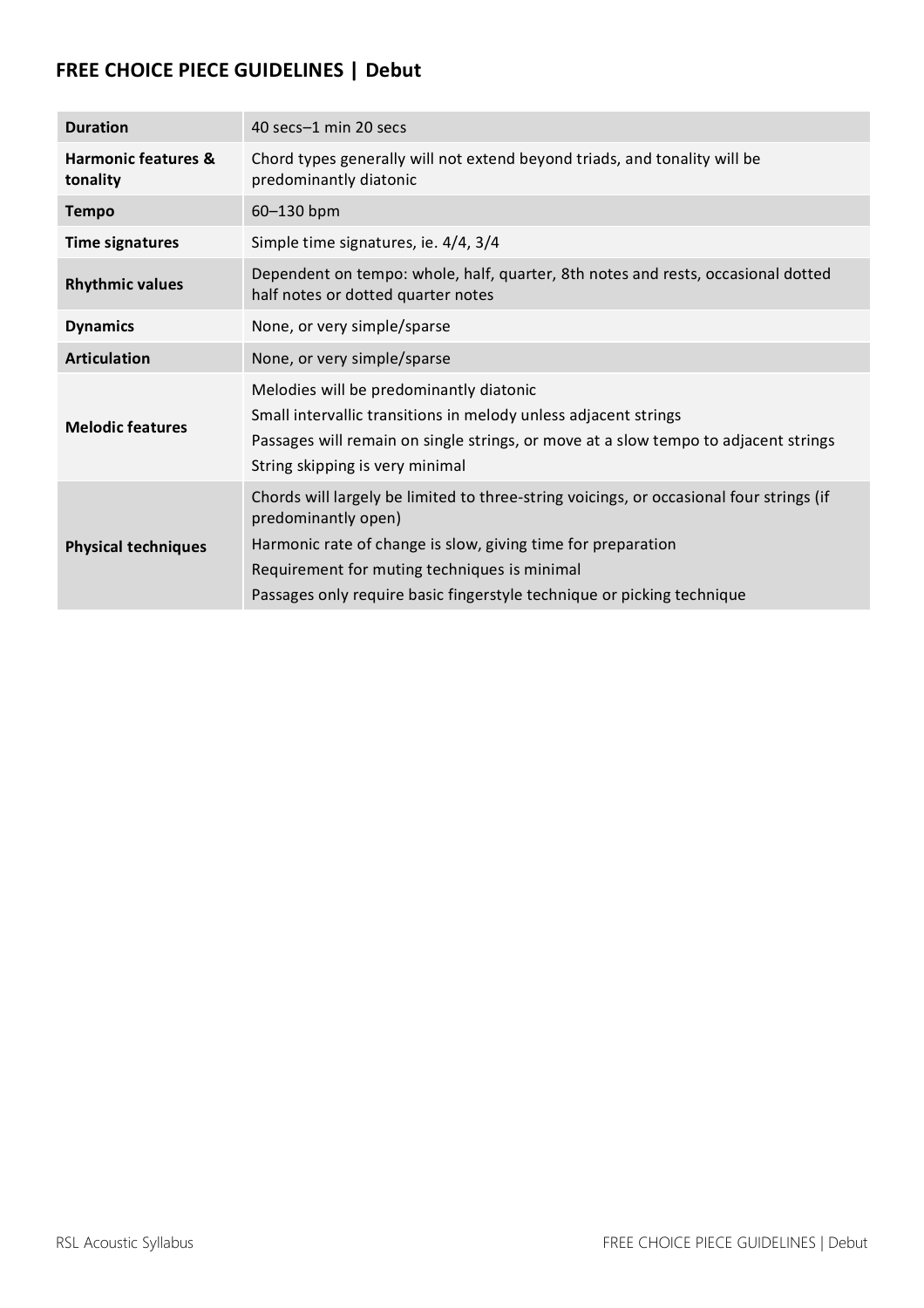#### **FREE CHOICE PIECE GUIDELINES | Debut**

| <b>Duration</b>                            | 40 secs-1 min 20 secs                                                                                                                                                                                                                                                                                    |
|--------------------------------------------|----------------------------------------------------------------------------------------------------------------------------------------------------------------------------------------------------------------------------------------------------------------------------------------------------------|
| <b>Harmonic features &amp;</b><br>tonality | Chord types generally will not extend beyond triads, and tonality will be<br>predominantly diatonic                                                                                                                                                                                                      |
| <b>Tempo</b>                               | 60-130 bpm                                                                                                                                                                                                                                                                                               |
| <b>Time signatures</b>                     | Simple time signatures, ie. 4/4, 3/4                                                                                                                                                                                                                                                                     |
| <b>Rhythmic values</b>                     | Dependent on tempo: whole, half, quarter, 8th notes and rests, occasional dotted<br>half notes or dotted quarter notes                                                                                                                                                                                   |
| <b>Dynamics</b>                            | None, or very simple/sparse                                                                                                                                                                                                                                                                              |
| <b>Articulation</b>                        | None, or very simple/sparse                                                                                                                                                                                                                                                                              |
| <b>Melodic features</b>                    | Melodies will be predominantly diatonic<br>Small intervallic transitions in melody unless adjacent strings<br>Passages will remain on single strings, or move at a slow tempo to adjacent strings<br>String skipping is very minimal                                                                     |
| <b>Physical techniques</b>                 | Chords will largely be limited to three-string voicings, or occasional four strings (if<br>predominantly open)<br>Harmonic rate of change is slow, giving time for preparation<br>Requirement for muting techniques is minimal<br>Passages only require basic fingerstyle technique or picking technique |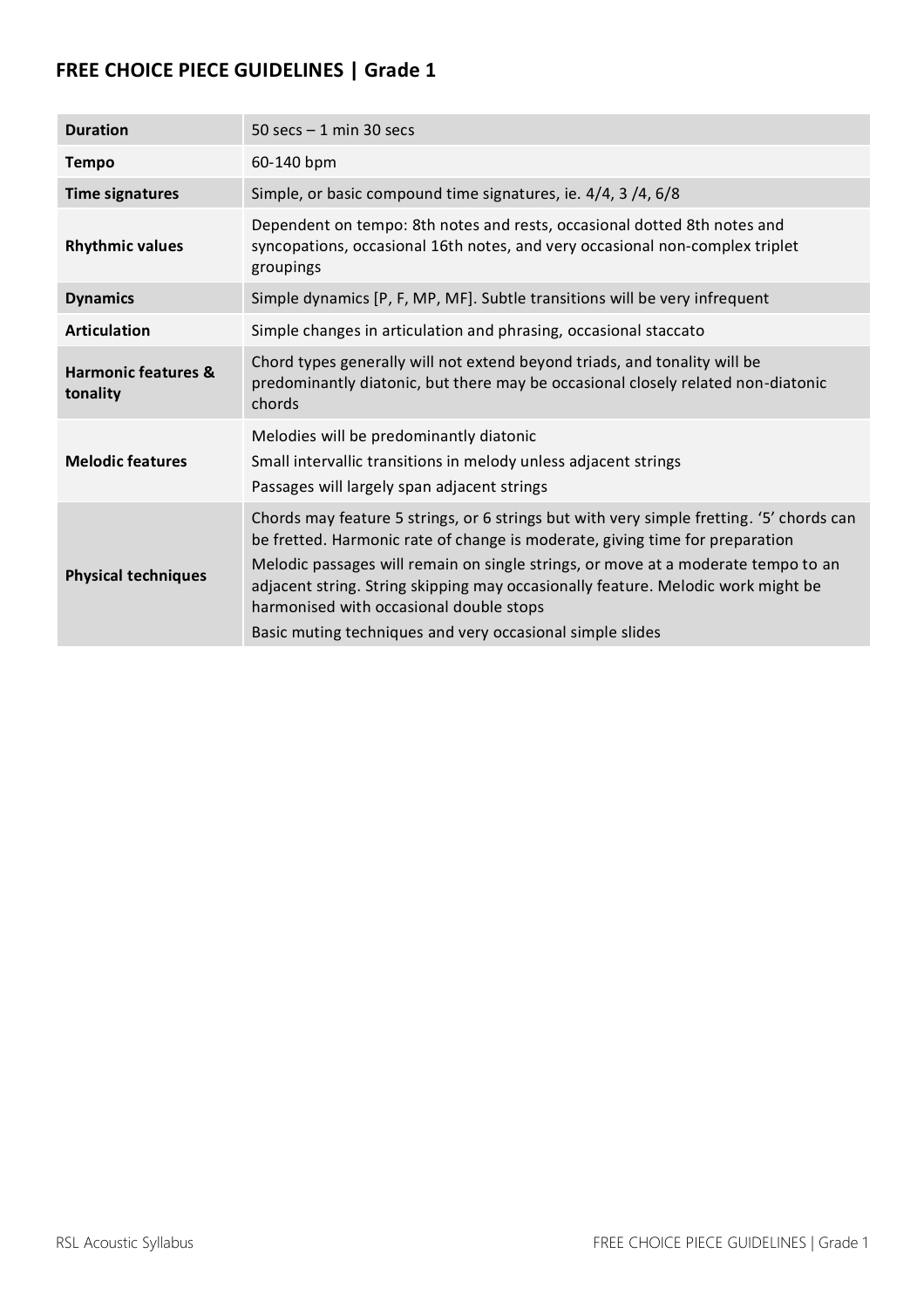| <b>Duration</b>                            | 50 secs $-1$ min 30 secs                                                                                                                                                                                                                                                                                                                                                                                                                                  |
|--------------------------------------------|-----------------------------------------------------------------------------------------------------------------------------------------------------------------------------------------------------------------------------------------------------------------------------------------------------------------------------------------------------------------------------------------------------------------------------------------------------------|
| <b>Tempo</b>                               | 60-140 bpm                                                                                                                                                                                                                                                                                                                                                                                                                                                |
| <b>Time signatures</b>                     | Simple, or basic compound time signatures, ie. 4/4, 3/4, 6/8                                                                                                                                                                                                                                                                                                                                                                                              |
| <b>Rhythmic values</b>                     | Dependent on tempo: 8th notes and rests, occasional dotted 8th notes and<br>syncopations, occasional 16th notes, and very occasional non-complex triplet<br>groupings                                                                                                                                                                                                                                                                                     |
| <b>Dynamics</b>                            | Simple dynamics [P, F, MP, MF]. Subtle transitions will be very infrequent                                                                                                                                                                                                                                                                                                                                                                                |
| <b>Articulation</b>                        | Simple changes in articulation and phrasing, occasional staccato                                                                                                                                                                                                                                                                                                                                                                                          |
| <b>Harmonic features &amp;</b><br>tonality | Chord types generally will not extend beyond triads, and tonality will be<br>predominantly diatonic, but there may be occasional closely related non-diatonic<br>chords                                                                                                                                                                                                                                                                                   |
| <b>Melodic features</b>                    | Melodies will be predominantly diatonic<br>Small intervallic transitions in melody unless adjacent strings<br>Passages will largely span adjacent strings                                                                                                                                                                                                                                                                                                 |
| <b>Physical techniques</b>                 | Chords may feature 5 strings, or 6 strings but with very simple fretting. '5' chords can<br>be fretted. Harmonic rate of change is moderate, giving time for preparation<br>Melodic passages will remain on single strings, or move at a moderate tempo to an<br>adjacent string. String skipping may occasionally feature. Melodic work might be<br>harmonised with occasional double stops<br>Basic muting techniques and very occasional simple slides |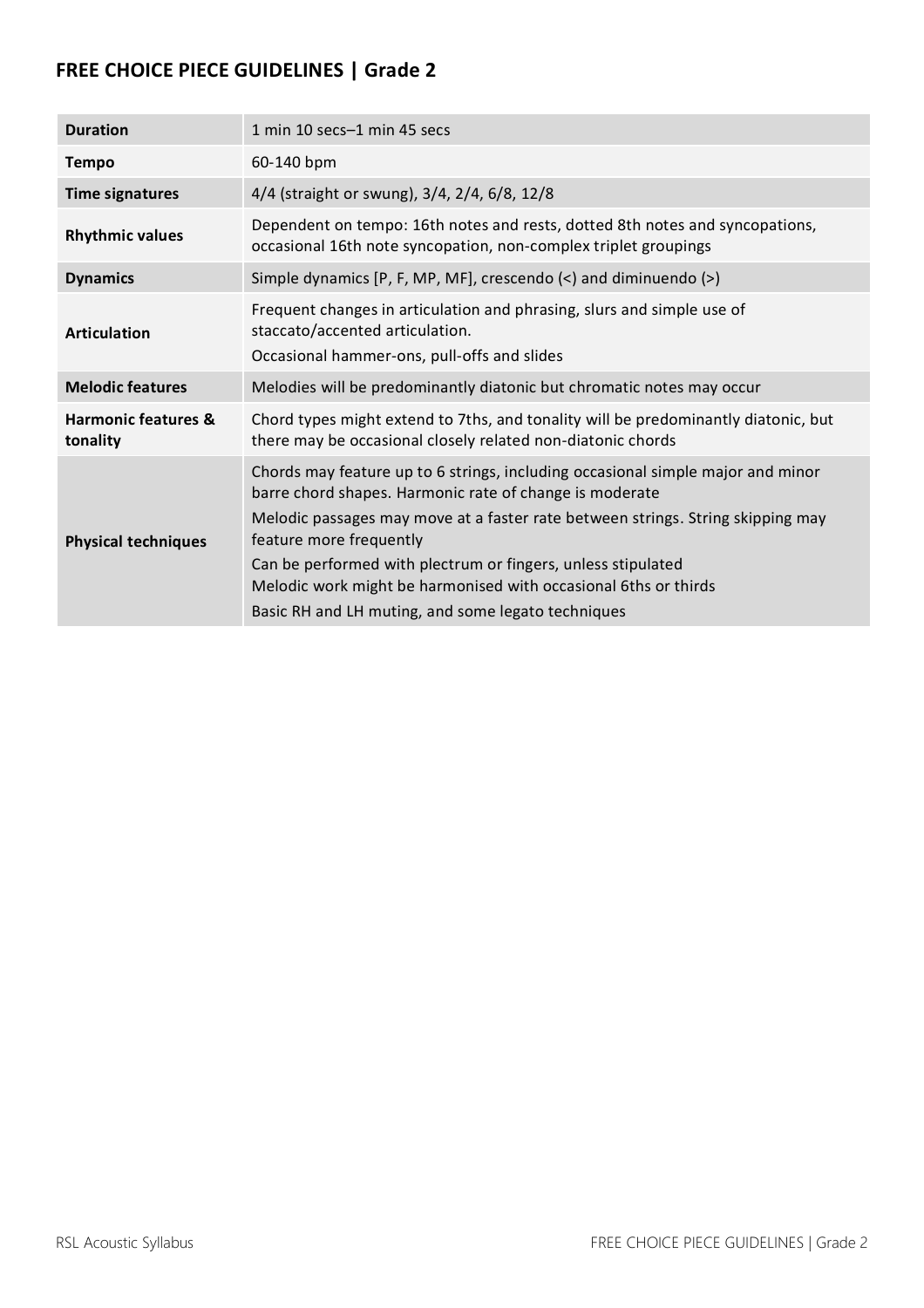| <b>Duration</b>                            | 1 min 10 secs-1 min 45 secs                                                                                                                                                                                                                                                                                                                                                                                                                       |
|--------------------------------------------|---------------------------------------------------------------------------------------------------------------------------------------------------------------------------------------------------------------------------------------------------------------------------------------------------------------------------------------------------------------------------------------------------------------------------------------------------|
| <b>Tempo</b>                               | 60-140 bpm                                                                                                                                                                                                                                                                                                                                                                                                                                        |
| <b>Time signatures</b>                     | 4/4 (straight or swung), 3/4, 2/4, 6/8, 12/8                                                                                                                                                                                                                                                                                                                                                                                                      |
| <b>Rhythmic values</b>                     | Dependent on tempo: 16th notes and rests, dotted 8th notes and syncopations,<br>occasional 16th note syncopation, non-complex triplet groupings                                                                                                                                                                                                                                                                                                   |
| <b>Dynamics</b>                            | Simple dynamics [P, F, MP, MF], crescendo (<) and diminuendo (>)                                                                                                                                                                                                                                                                                                                                                                                  |
| <b>Articulation</b>                        | Frequent changes in articulation and phrasing, slurs and simple use of<br>staccato/accented articulation.<br>Occasional hammer-ons, pull-offs and slides                                                                                                                                                                                                                                                                                          |
| <b>Melodic features</b>                    | Melodies will be predominantly diatonic but chromatic notes may occur                                                                                                                                                                                                                                                                                                                                                                             |
| <b>Harmonic features &amp;</b><br>tonality | Chord types might extend to 7ths, and tonality will be predominantly diatonic, but<br>there may be occasional closely related non-diatonic chords                                                                                                                                                                                                                                                                                                 |
| <b>Physical techniques</b>                 | Chords may feature up to 6 strings, including occasional simple major and minor<br>barre chord shapes. Harmonic rate of change is moderate<br>Melodic passages may move at a faster rate between strings. String skipping may<br>feature more frequently<br>Can be performed with plectrum or fingers, unless stipulated<br>Melodic work might be harmonised with occasional 6ths or thirds<br>Basic RH and LH muting, and some legato techniques |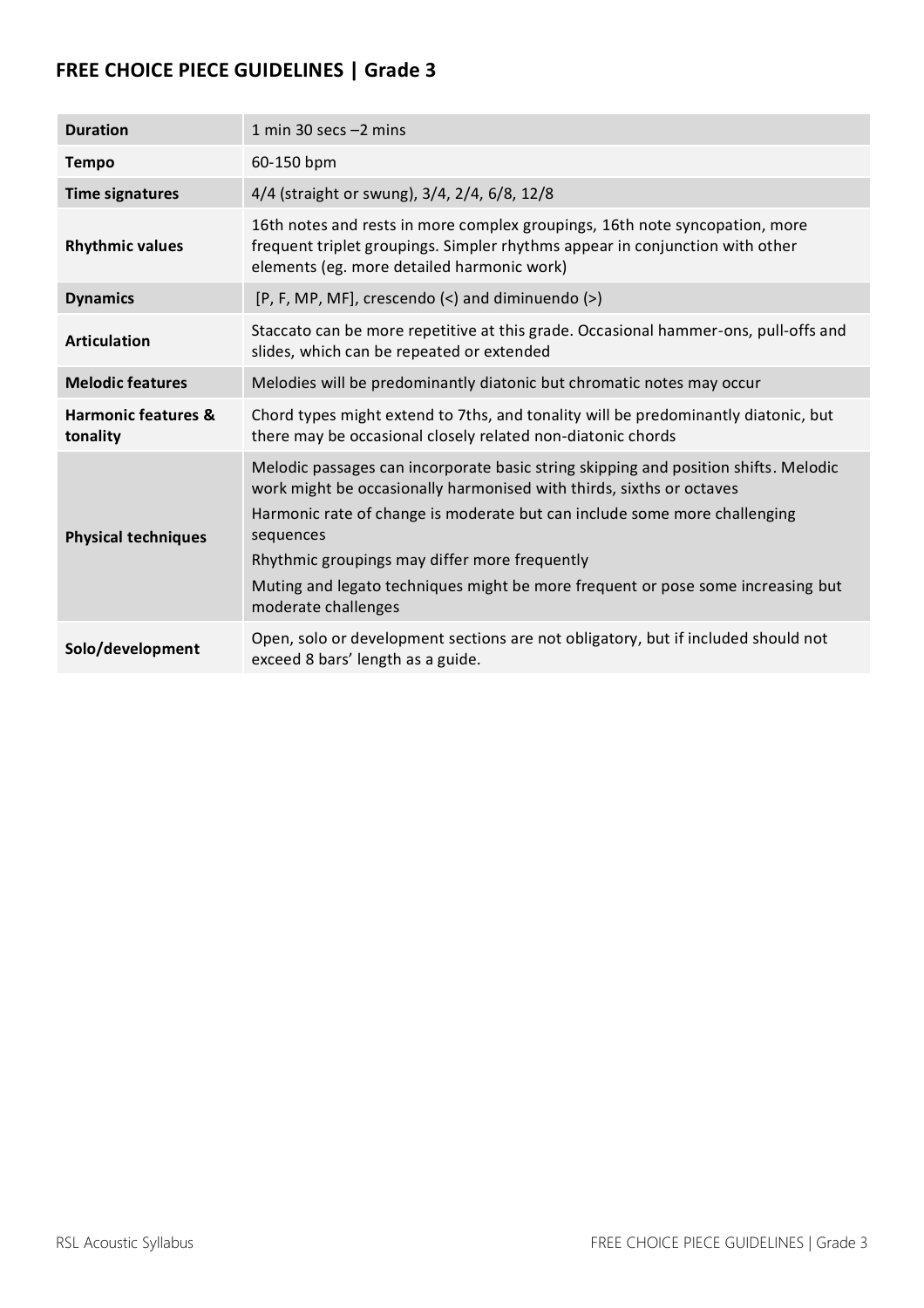| <b>Duration</b>                            | 1 min 30 secs $-2$ mins                                                                                                                                                                                                                                                                                                                                                                                          |
|--------------------------------------------|------------------------------------------------------------------------------------------------------------------------------------------------------------------------------------------------------------------------------------------------------------------------------------------------------------------------------------------------------------------------------------------------------------------|
| <b>Tempo</b>                               | 60-150 bpm                                                                                                                                                                                                                                                                                                                                                                                                       |
| <b>Time signatures</b>                     | 4/4 (straight or swung), 3/4, 2/4, 6/8, 12/8                                                                                                                                                                                                                                                                                                                                                                     |
| <b>Rhythmic values</b>                     | 16th notes and rests in more complex groupings, 16th note syncopation, more<br>frequent triplet groupings. Simpler rhythms appear in conjunction with other<br>elements (eg. more detailed harmonic work)                                                                                                                                                                                                        |
| <b>Dynamics</b>                            | $[P, F, MP, MF],$ crescendo $\langle$ and diminuendo $\langle$ >)                                                                                                                                                                                                                                                                                                                                                |
| <b>Articulation</b>                        | Staccato can be more repetitive at this grade. Occasional hammer-ons, pull-offs and<br>slides, which can be repeated or extended                                                                                                                                                                                                                                                                                 |
| <b>Melodic features</b>                    | Melodies will be predominantly diatonic but chromatic notes may occur                                                                                                                                                                                                                                                                                                                                            |
| <b>Harmonic features &amp;</b><br>tonality | Chord types might extend to 7ths, and tonality will be predominantly diatonic, but<br>there may be occasional closely related non-diatonic chords                                                                                                                                                                                                                                                                |
| <b>Physical techniques</b>                 | Melodic passages can incorporate basic string skipping and position shifts. Melodic<br>work might be occasionally harmonised with thirds, sixths or octaves<br>Harmonic rate of change is moderate but can include some more challenging<br>sequences<br>Rhythmic groupings may differ more frequently<br>Muting and legato techniques might be more frequent or pose some increasing but<br>moderate challenges |
| Solo/development                           | Open, solo or development sections are not obligatory, but if included should not<br>exceed 8 bars' length as a guide.                                                                                                                                                                                                                                                                                           |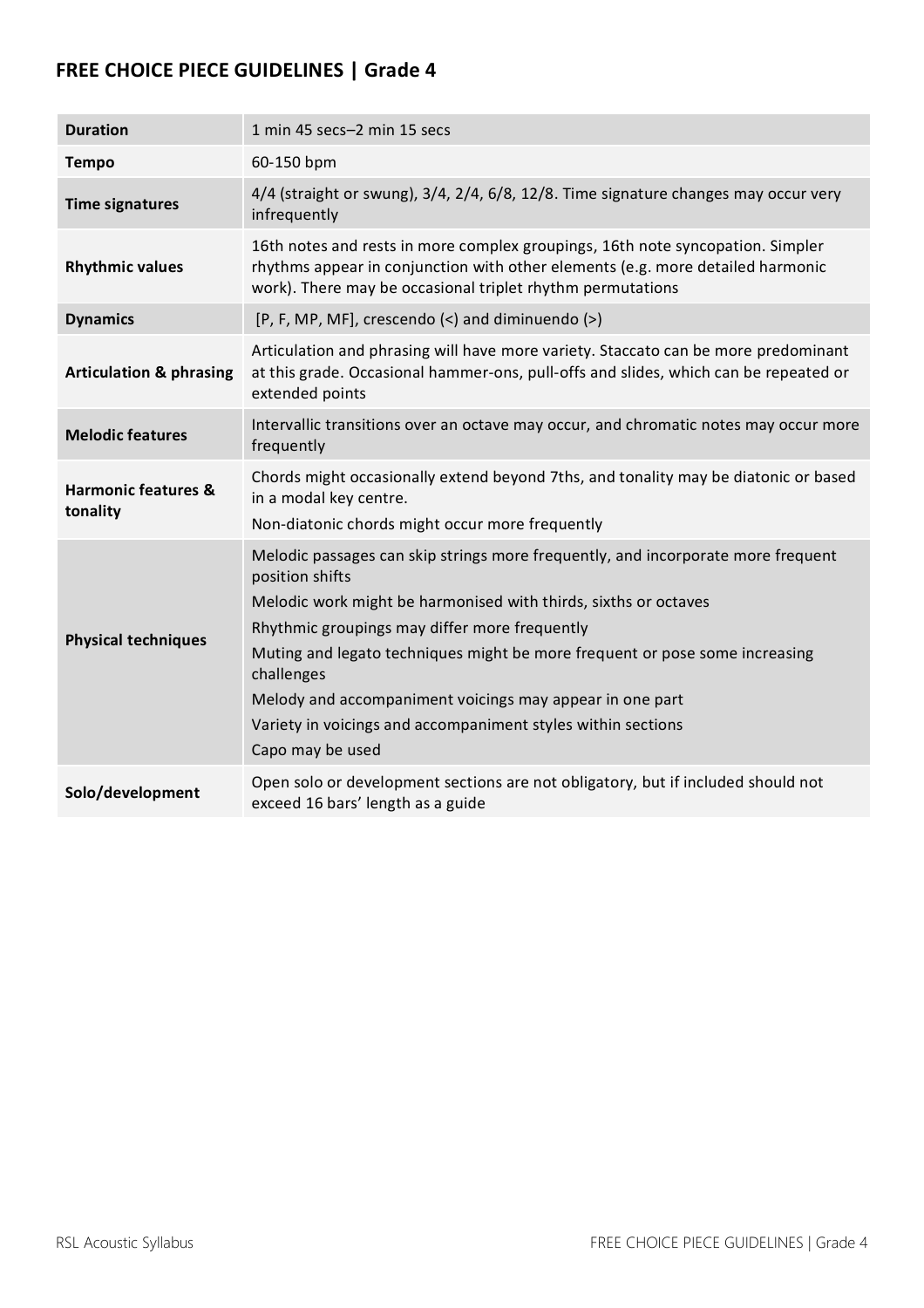| <b>Duration</b>                            | 1 min 45 secs-2 min 15 secs                                                                                                                                                                                                                                                                                                                                                                                                                                          |
|--------------------------------------------|----------------------------------------------------------------------------------------------------------------------------------------------------------------------------------------------------------------------------------------------------------------------------------------------------------------------------------------------------------------------------------------------------------------------------------------------------------------------|
| <b>Tempo</b>                               | 60-150 bpm                                                                                                                                                                                                                                                                                                                                                                                                                                                           |
| <b>Time signatures</b>                     | 4/4 (straight or swung), 3/4, 2/4, 6/8, 12/8. Time signature changes may occur very<br>infrequently                                                                                                                                                                                                                                                                                                                                                                  |
| <b>Rhythmic values</b>                     | 16th notes and rests in more complex groupings, 16th note syncopation. Simpler<br>rhythms appear in conjunction with other elements (e.g. more detailed harmonic<br>work). There may be occasional triplet rhythm permutations                                                                                                                                                                                                                                       |
| <b>Dynamics</b>                            | [P, F, MP, MF], crescendo (<) and diminuendo (>)                                                                                                                                                                                                                                                                                                                                                                                                                     |
| <b>Articulation &amp; phrasing</b>         | Articulation and phrasing will have more variety. Staccato can be more predominant<br>at this grade. Occasional hammer-ons, pull-offs and slides, which can be repeated or<br>extended points                                                                                                                                                                                                                                                                        |
| <b>Melodic features</b>                    | Intervallic transitions over an octave may occur, and chromatic notes may occur more<br>frequently                                                                                                                                                                                                                                                                                                                                                                   |
| <b>Harmonic features &amp;</b><br>tonality | Chords might occasionally extend beyond 7ths, and tonality may be diatonic or based<br>in a modal key centre.<br>Non-diatonic chords might occur more frequently                                                                                                                                                                                                                                                                                                     |
| <b>Physical techniques</b>                 | Melodic passages can skip strings more frequently, and incorporate more frequent<br>position shifts<br>Melodic work might be harmonised with thirds, sixths or octaves<br>Rhythmic groupings may differ more frequently<br>Muting and legato techniques might be more frequent or pose some increasing<br>challenges<br>Melody and accompaniment voicings may appear in one part<br>Variety in voicings and accompaniment styles within sections<br>Capo may be used |
| Solo/development                           | Open solo or development sections are not obligatory, but if included should not<br>exceed 16 bars' length as a guide                                                                                                                                                                                                                                                                                                                                                |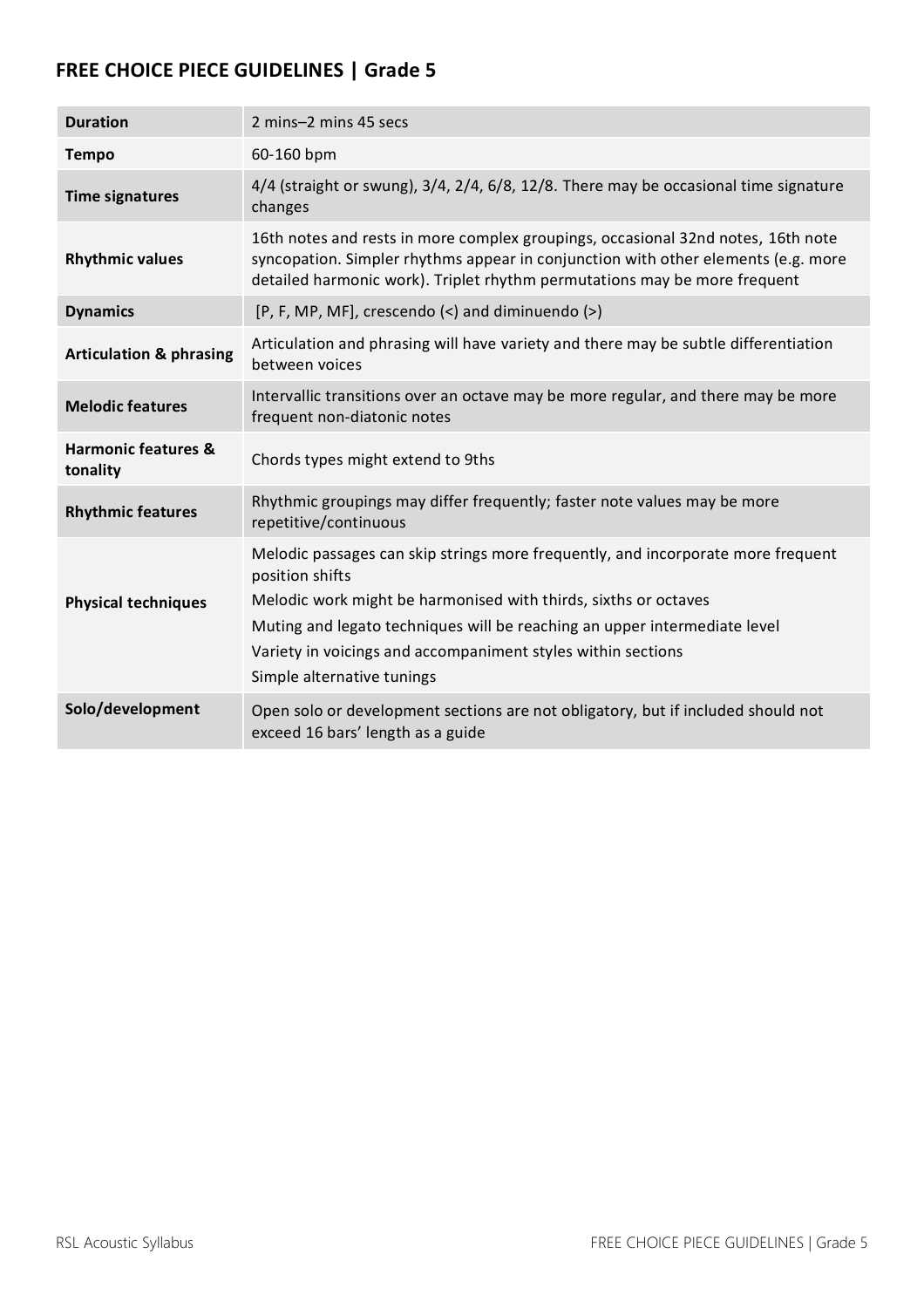| <b>Duration</b>                            | 2 mins-2 mins 45 secs                                                                                                                                                                                                                                                                                                                             |
|--------------------------------------------|---------------------------------------------------------------------------------------------------------------------------------------------------------------------------------------------------------------------------------------------------------------------------------------------------------------------------------------------------|
| <b>Tempo</b>                               | 60-160 bpm                                                                                                                                                                                                                                                                                                                                        |
| <b>Time signatures</b>                     | $4/4$ (straight or swung), $3/4$ , $2/4$ , $6/8$ , $12/8$ . There may be occasional time signature<br>changes                                                                                                                                                                                                                                     |
| <b>Rhythmic values</b>                     | 16th notes and rests in more complex groupings, occasional 32nd notes, 16th note<br>syncopation. Simpler rhythms appear in conjunction with other elements (e.g. more<br>detailed harmonic work). Triplet rhythm permutations may be more frequent                                                                                                |
| <b>Dynamics</b>                            | [P, F, MP, MF], crescendo (<) and diminuendo (>)                                                                                                                                                                                                                                                                                                  |
| <b>Articulation &amp; phrasing</b>         | Articulation and phrasing will have variety and there may be subtle differentiation<br>between voices                                                                                                                                                                                                                                             |
| <b>Melodic features</b>                    | Intervallic transitions over an octave may be more regular, and there may be more<br>frequent non-diatonic notes                                                                                                                                                                                                                                  |
| <b>Harmonic features &amp;</b><br>tonality | Chords types might extend to 9ths                                                                                                                                                                                                                                                                                                                 |
| <b>Rhythmic features</b>                   | Rhythmic groupings may differ frequently; faster note values may be more<br>repetitive/continuous                                                                                                                                                                                                                                                 |
| <b>Physical techniques</b>                 | Melodic passages can skip strings more frequently, and incorporate more frequent<br>position shifts<br>Melodic work might be harmonised with thirds, sixths or octaves<br>Muting and legato techniques will be reaching an upper intermediate level<br>Variety in voicings and accompaniment styles within sections<br>Simple alternative tunings |
| Solo/development                           | Open solo or development sections are not obligatory, but if included should not<br>exceed 16 bars' length as a guide                                                                                                                                                                                                                             |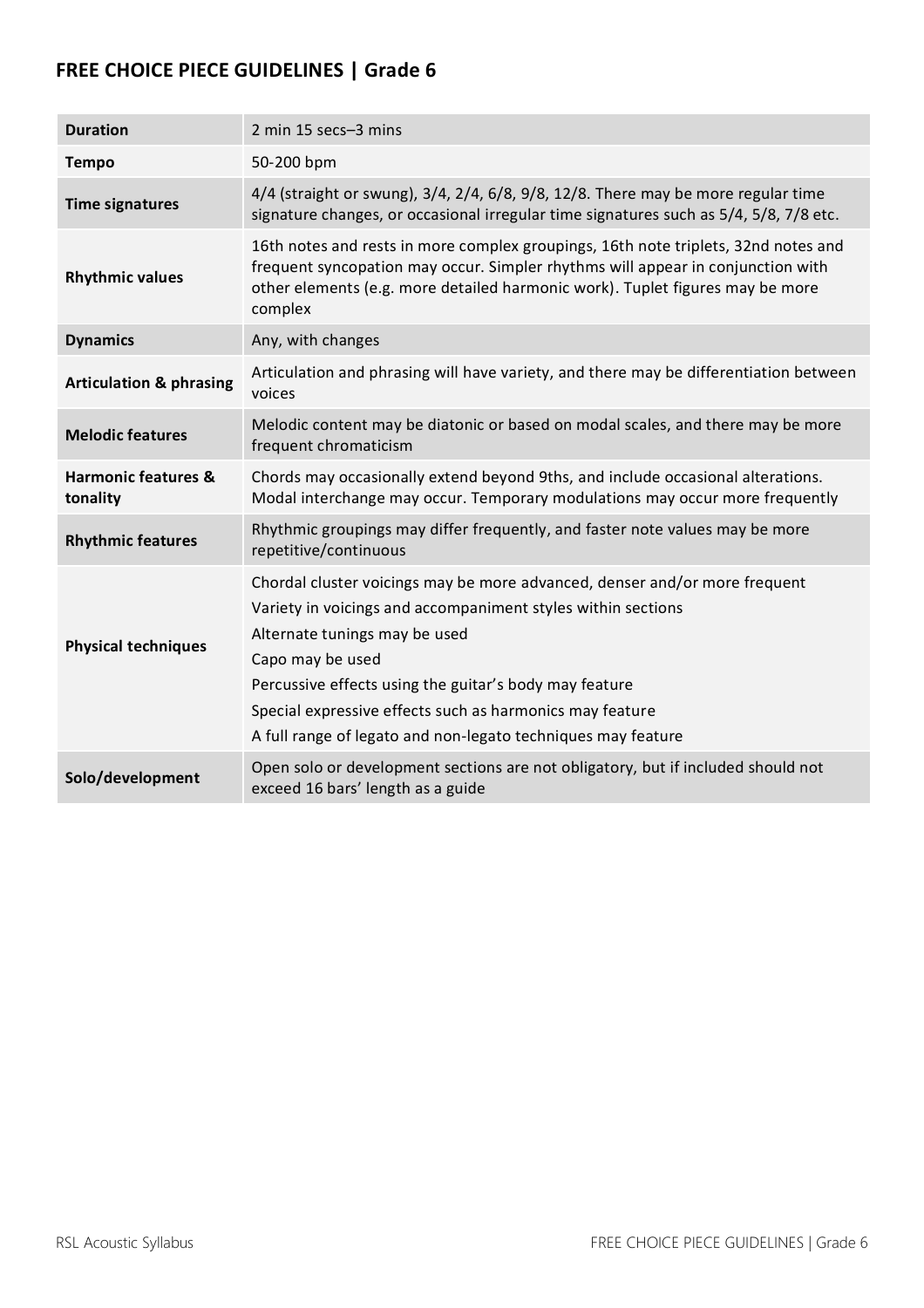| <b>Duration</b>                            | 2 min 15 secs-3 mins                                                                                                                                                                                                                                                                                                                                                                  |
|--------------------------------------------|---------------------------------------------------------------------------------------------------------------------------------------------------------------------------------------------------------------------------------------------------------------------------------------------------------------------------------------------------------------------------------------|
| <b>Tempo</b>                               | 50-200 bpm                                                                                                                                                                                                                                                                                                                                                                            |
| <b>Time signatures</b>                     | 4/4 (straight or swung), 3/4, 2/4, 6/8, 9/8, 12/8. There may be more regular time<br>signature changes, or occasional irregular time signatures such as 5/4, 5/8, 7/8 etc.                                                                                                                                                                                                            |
| <b>Rhythmic values</b>                     | 16th notes and rests in more complex groupings, 16th note triplets, 32nd notes and<br>frequent syncopation may occur. Simpler rhythms will appear in conjunction with<br>other elements (e.g. more detailed harmonic work). Tuplet figures may be more<br>complex                                                                                                                     |
| <b>Dynamics</b>                            | Any, with changes                                                                                                                                                                                                                                                                                                                                                                     |
| <b>Articulation &amp; phrasing</b>         | Articulation and phrasing will have variety, and there may be differentiation between<br>voices                                                                                                                                                                                                                                                                                       |
| <b>Melodic features</b>                    | Melodic content may be diatonic or based on modal scales, and there may be more<br>frequent chromaticism                                                                                                                                                                                                                                                                              |
| <b>Harmonic features &amp;</b><br>tonality | Chords may occasionally extend beyond 9ths, and include occasional alterations.<br>Modal interchange may occur. Temporary modulations may occur more frequently                                                                                                                                                                                                                       |
| <b>Rhythmic features</b>                   | Rhythmic groupings may differ frequently, and faster note values may be more<br>repetitive/continuous                                                                                                                                                                                                                                                                                 |
| <b>Physical techniques</b>                 | Chordal cluster voicings may be more advanced, denser and/or more frequent<br>Variety in voicings and accompaniment styles within sections<br>Alternate tunings may be used<br>Capo may be used<br>Percussive effects using the guitar's body may feature<br>Special expressive effects such as harmonics may feature<br>A full range of legato and non-legato techniques may feature |
| Solo/development                           | Open solo or development sections are not obligatory, but if included should not<br>exceed 16 bars' length as a guide                                                                                                                                                                                                                                                                 |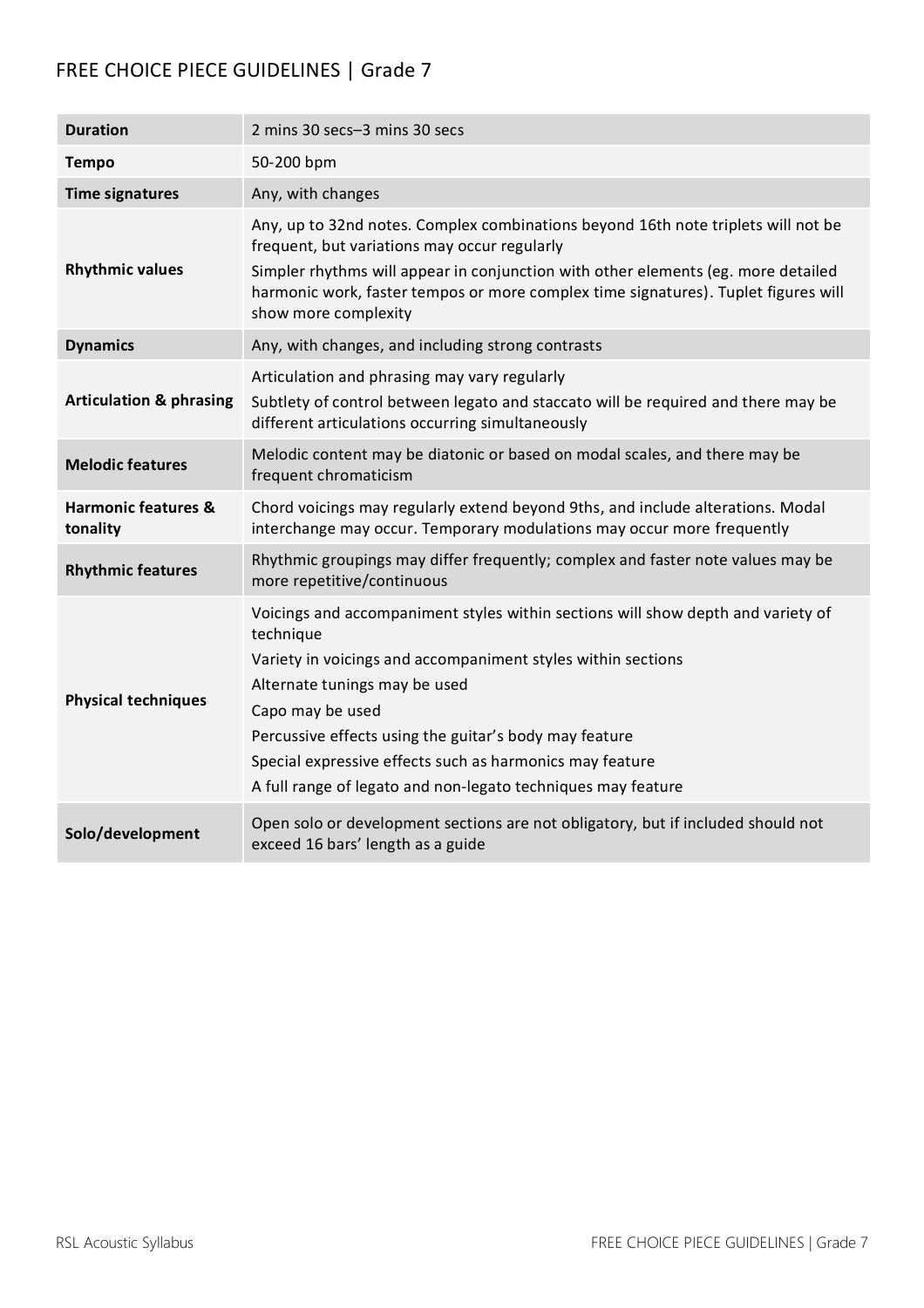| <b>Duration</b>                            | 2 mins 30 secs-3 mins 30 secs                                                                                                                                                                                                                                                                                                                                                                            |
|--------------------------------------------|----------------------------------------------------------------------------------------------------------------------------------------------------------------------------------------------------------------------------------------------------------------------------------------------------------------------------------------------------------------------------------------------------------|
| <b>Tempo</b>                               | 50-200 bpm                                                                                                                                                                                                                                                                                                                                                                                               |
| <b>Time signatures</b>                     | Any, with changes                                                                                                                                                                                                                                                                                                                                                                                        |
| <b>Rhythmic values</b>                     | Any, up to 32nd notes. Complex combinations beyond 16th note triplets will not be<br>frequent, but variations may occur regularly<br>Simpler rhythms will appear in conjunction with other elements (eg. more detailed<br>harmonic work, faster tempos or more complex time signatures). Tuplet figures will<br>show more complexity                                                                     |
| <b>Dynamics</b>                            | Any, with changes, and including strong contrasts                                                                                                                                                                                                                                                                                                                                                        |
| <b>Articulation &amp; phrasing</b>         | Articulation and phrasing may vary regularly<br>Subtlety of control between legato and staccato will be required and there may be<br>different articulations occurring simultaneously                                                                                                                                                                                                                    |
| <b>Melodic features</b>                    | Melodic content may be diatonic or based on modal scales, and there may be<br>frequent chromaticism                                                                                                                                                                                                                                                                                                      |
| <b>Harmonic features &amp;</b><br>tonality | Chord voicings may regularly extend beyond 9ths, and include alterations. Modal<br>interchange may occur. Temporary modulations may occur more frequently                                                                                                                                                                                                                                                |
| <b>Rhythmic features</b>                   | Rhythmic groupings may differ frequently; complex and faster note values may be<br>more repetitive/continuous                                                                                                                                                                                                                                                                                            |
| <b>Physical techniques</b>                 | Voicings and accompaniment styles within sections will show depth and variety of<br>technique<br>Variety in voicings and accompaniment styles within sections<br>Alternate tunings may be used<br>Capo may be used<br>Percussive effects using the guitar's body may feature<br>Special expressive effects such as harmonics may feature<br>A full range of legato and non-legato techniques may feature |
| Solo/development                           | Open solo or development sections are not obligatory, but if included should not<br>exceed 16 bars' length as a guide                                                                                                                                                                                                                                                                                    |